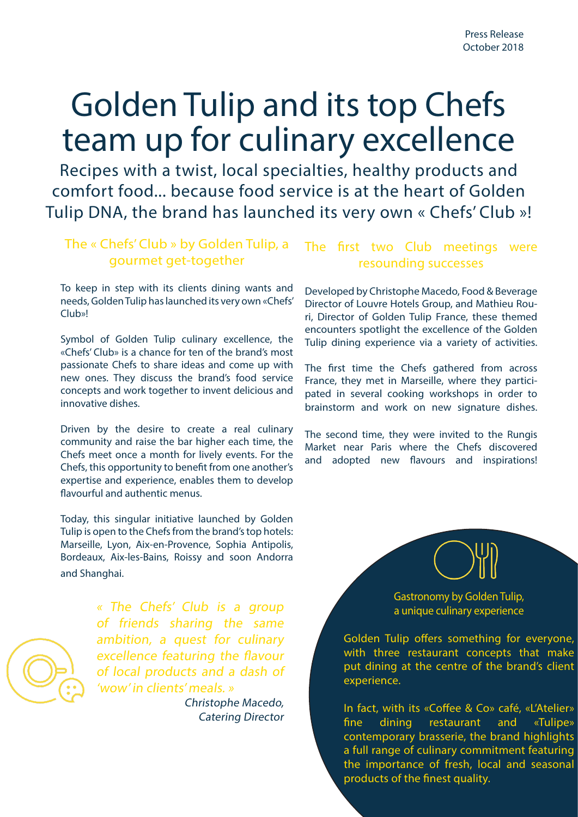# Golden Tulip and its top Chefs team up for culinary excellence

Recipes with a twist, local specialties, healthy products and comfort food... because food service is at the heart of Golden Tulip DNA, the brand has launched its very own « Chefs' Club »!

## The « Chefs' Club » by Golden Tulip, a gourmet get-together

To keep in step with its clients dining wants and needs, Golden Tulip has launched its very own «Chefs' Club»!

Symbol of Golden Tulip culinary excellence, the «Chefs' Club» is a chance for ten of the brand's most passionate Chefs to share ideas and come up with new ones. They discuss the brand's food service concepts and work together to invent delicious and innovative dishes.

Driven by the desire to create a real culinary community and raise the bar higher each time, the Chefs meet once a month for lively events. For the Chefs, this opportunity to benefit from one another's expertise and experience, enables them to develop flavourful and authentic menus.

Today, this singular initiative launched by Golden Tulip is open to the Chefs from the brand's top hotels: Marseille, Lyon, Aix-en-Provence, Sophia Antipolis, Bordeaux, Aix-les-Bains, Roissy and soon Andorra and Shanghai.



« The Chefs' Club is a group of friends sharing the same ambition, a quest for culinary excellence featuring the flavour of local products and a dash of 'wow' in clients' meals. »

Christophe Macedo, Catering Director

## The first two Club meetings were resounding successes

Developed by Christophe Macedo, Food & Beverage Director of Louvre Hotels Group, and Mathieu Rouri, Director of Golden Tulip France, these themed encounters spotlight the excellence of the Golden Tulip dining experience via a variety of activities.

The first time the Chefs gathered from across France, they met in Marseille, where they participated in several cooking workshops in order to brainstorm and work on new signature dishes.

The second time, they were invited to the Rungis Market near Paris where the Chefs discovered and adopted new flavours and inspirations!



Gastronomy by Golden Tulip, a unique culinary experience

Golden Tulip offers something for everyone, with three restaurant concepts that make put dining at the centre of the brand's client experience.

In fact, with its «Coffee & Co» café, «L'Atelier» fine dining restaurant and «Tulipe» contemporary brasserie, the brand highlights a full range of culinary commitment featuring the importance of fresh, local and seasonal products of the finest quality.